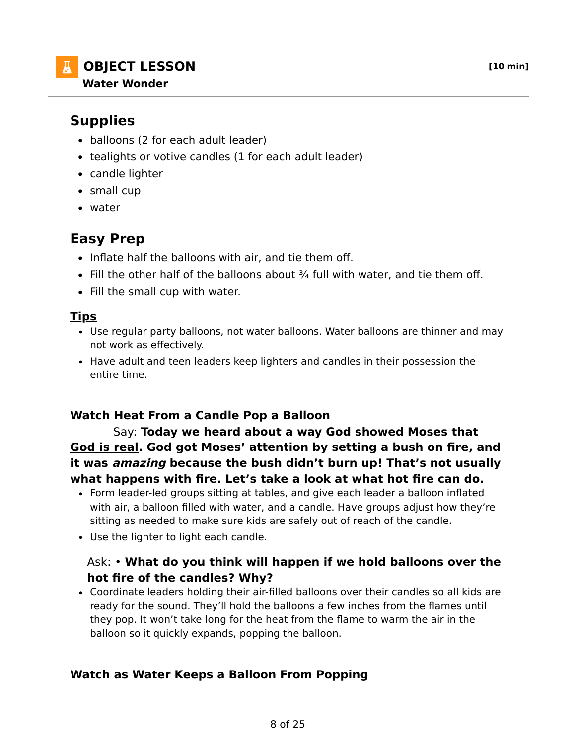- balloons (2 for each adult leader)
- tealights or votive candles (1 for each adult leader)
- candle lighter
- small cup
- water

# **Easy Prep**

- Inflate half the balloons with air, and tie them off.
- $\bullet$  Fill the other half of the balloons about  $\frac{3}{4}$  full with water, and tie them off.
- Fill the small cup with water.

### **Tips**

- Use regular party balloons, not water balloons. Water balloons are thinner and may not work as effectively.
- Have adult and teen leaders keep lighters and candles in their possession the entire time.

# **Watch Heat From a Candle Pop a Balloon**

 Say: **Today we heard about a way God showed Moses that God is real. God got Moses' attention by setting a bush on fire, and it was amazing because the bush didn't burn up! That's not usually what happens with fire. Let's take a look at what hot fire can do.**

- Form leader-led groups sitting at tables, and give each leader a balloon inflated with air, a balloon filled with water, and a candle. Have groups adjust how they're sitting as needed to make sure kids are safely out of reach of the candle.
- Use the lighter to light each candle.

### Ask: • **What do you think will happen if we hold balloons over the hot fire of the candles? Why?**

Coordinate leaders holding their air-filled balloons over their candles so all kids are ready for the sound. They'll hold the balloons a few inches from the flames until they pop. It won't take long for the heat from the flame to warm the air in the balloon so it quickly expands, popping the balloon.

# **Watch as Water Keeps a Balloon From Popping**